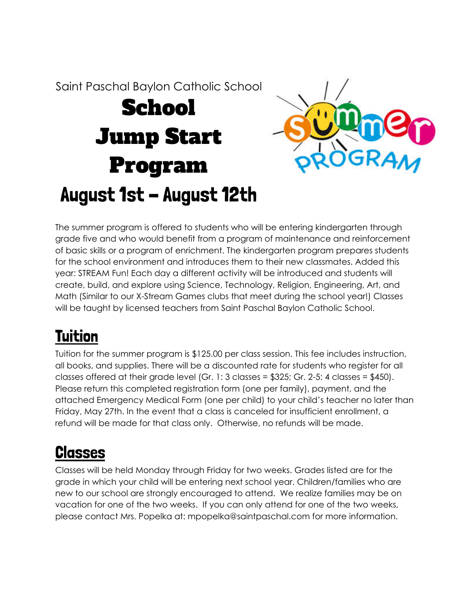Saint Paschal Baylon Catholic School

# School Jump Start Program August 1st - August 12th



The summer program is offered to students who will be entering kindergarten through grade five and who would benefit from a program of maintenance and reinforcement of basic skills or a program of enrichment. The kindergarten program prepares students for the school environment and introduces them to their new classmates. Added this year: STREAM Fun! Each day a different activity will be introduced and students will create, build, and explore using Science, Technology, Religion, Engineering, Art, and Math (Similar to our X-Stream Games clubs that meet during the school year!) Classes will be taught by licensed teachers from Saint Paschal Baylon Catholic School.

# Tuition

Tuition for the summer program is \$125.00 per class session. This fee includes instruction, all books, and supplies. There will be a discounted rate for students who register for all classes offered at their grade level (Gr. 1: 3 classes = \$325; Gr. 2-5: 4 classes = \$450). Please return this completed registration form (one per family), payment, and the attached Emergency Medical Form (one per child) to your child's teacher no later than Friday, May 27th. In the event that a class is canceled for insufficient enrollment, a refund will be made for that class only. Otherwise, no refunds will be made.

## **Classes**

Classes will be held Monday through Friday for two weeks. Grades listed are for the grade in which your child will be entering next school year. Children/families who are new to our school are strongly encouraged to attend. We realize families may be on vacation for one of the two weeks. If you can only attend for one of the two weeks, please contact Mrs. Popelka at: mpopelka@saintpaschal.com for more information.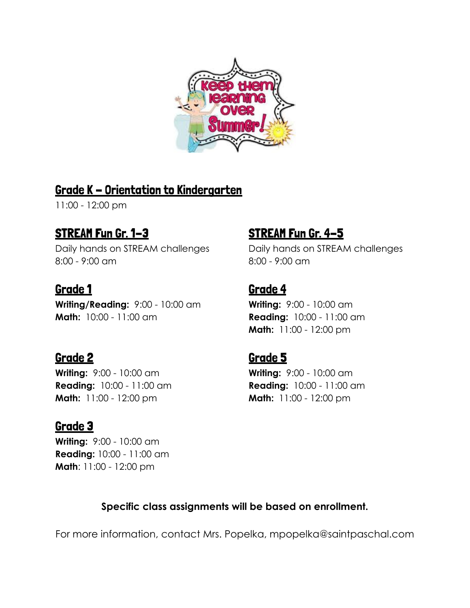

#### Grade K - Orientation to Kindergarten

11:00 - 12:00 pm

Daily hands on STREAM challenges Daily hands on STREAM challenges 8:00 - 9:00 am 8:00 - 9:00 am

**Writing/Reading:** 9:00 - 10:00 am **Writing:** 9:00 - 10:00 am **Math:** 10:00 - 11:00 am **Reading:** 10:00 - 11:00 am

**Writing:** 9:00 - 10:00 am **Writing:** 9:00 - 10:00 am **Math:** 11:00 - 12:00 pm **Math:** 11:00 - 12:00 pm

#### Grade 3

**Writing:** 9:00 - 10:00 am **Reading:** 10:00 - 11:00 am **Math**: 11:00 - 12:00 pm

### STREAM Fun Gr. 1–3 STREAM Fun Gr. 4–5

#### Grade 1 Grade 4

**Math:** 11:00 - 12:00 pm

### Grade 2 Grade 5

**Reading:** 10:00 - 11:00 am **Reading:** 10:00 - 11:00 am

#### **Specific class assignments will be based on enrollment.**

For more information, contact Mrs. Popelka, mpopelka@saintpaschal.com